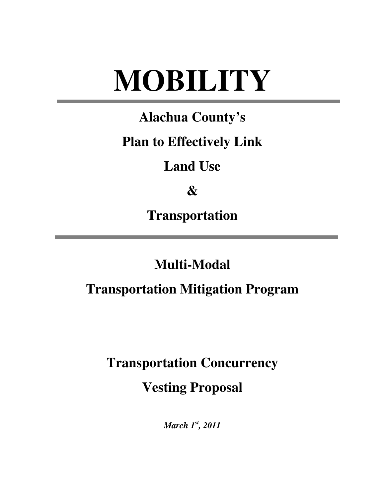# **MOBILITY**

## **Alachua County's**

### **Plan to Effectively Link**

### **Land Use**

## **&**

**Transportation** 

### **Multi-Modal**

### **Transportation Mitigation Program**

**Transportation Concurrency** 

**Vesting Proposal** 

*March 1st, 2011*